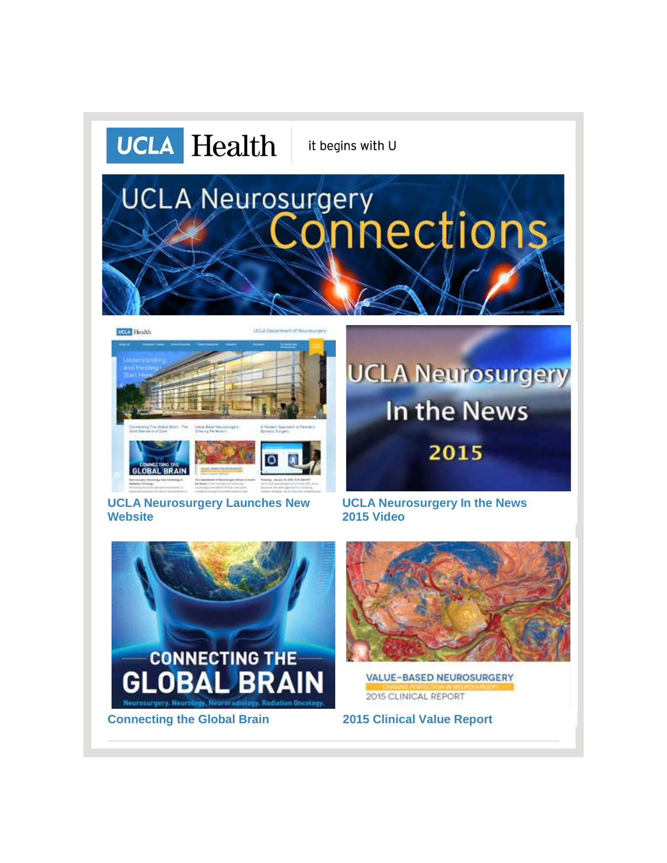







**[UCLA Neurosurgery Launches New](http://r20.rs6.net/tn.jsp?f=001-VdNGqF67Yizm9LoTl1-oVgWx-m0tEIyViFnmMypjjrcPzXawowD7wGSKwiHqh-a2zO7qf_D3a78C-OpQrppwCeltwWpkmrpTDfD8z-86JFCii6Y3ps1uBK0gCl4pY34R5Aq51MdRLUoq5AXl3GurEezfH9CLWlCRseLMqf2w4x_E5kgYPnlRIROwk7LrES_dpKbqCZuRZcKXJqSWozGm0DI0egw58Rpr8LeCeIIphqcvWrb8xB4j0VSzfJHq_gbGFeF39NqC5KP9mKM5OzkcEJllj0fuyT7buDvAtC9yX3oP6eiJ9keUKHApxAp4uuzt3NdUD5gCnnL5ldtLWaVeiDBOVs7kxDKMluywpvz9Pbm1qyHJI2MzV6CRp3k1m57rMU_IPJIYxw=&c=X4uJHqXZgHsNl_sfp0wlZWzXaOS-vbxyiprdqjLxpdooHnm_qyEZhQ==&ch=XUNexlk9c0OzS3tyTqp4q4c81rU0WH2ZP5B2NJbf27yNAWdc8oqZyw==)  [Website](http://r20.rs6.net/tn.jsp?f=001-VdNGqF67Yizm9LoTl1-oVgWx-m0tEIyViFnmMypjjrcPzXawowD7wGSKwiHqh-a2zO7qf_D3a78C-OpQrppwCeltwWpkmrpTDfD8z-86JFCii6Y3ps1uBK0gCl4pY34R5Aq51MdRLUoq5AXl3GurEezfH9CLWlCRseLMqf2w4x_E5kgYPnlRIROwk7LrES_dpKbqCZuRZcKXJqSWozGm0DI0egw58Rpr8LeCeIIphqcvWrb8xB4j0VSzfJHq_gbGFeF39NqC5KP9mKM5OzkcEJllj0fuyT7buDvAtC9yX3oP6eiJ9keUKHApxAp4uuzt3NdUD5gCnnL5ldtLWaVeiDBOVs7kxDKMluywpvz9Pbm1qyHJI2MzV6CRp3k1m57rMU_IPJIYxw=&c=X4uJHqXZgHsNl_sfp0wlZWzXaOS-vbxyiprdqjLxpdooHnm_qyEZhQ==&ch=XUNexlk9c0OzS3tyTqp4q4c81rU0WH2ZP5B2NJbf27yNAWdc8oqZyw==)**

# **UCLA Neurosurgery** In the News 2015

**[UCLA Neurosurgery In the News](http://r20.rs6.net/tn.jsp?f=001-VdNGqF67Yizm9LoTl1-oVgWx-m0tEIyViFnmMypjjrcPzXawowD74XMSl9VaYelnlLGa1IDM00tIWJh4ViDemFupk6P7pyzNQ-y-Mt8E9CzhZAraR7kZcophCGlgOS-zP2PyUZqwUTyOq5a_NFaQgBeuHslS5nas0FkVdcCSHKqclidRq45FhWuSjLltt9Vkr-hZhW6mWV4EadQBwblugT2uEkxQF39WxsKd8i1IrfH8EjJOysExf69ScKJrgIC3oCN5URL-wvSNddU9kSOMdCDocTeKzs_jq6Z71HMoqWWRxlOHaxz7eoYKjflqwc5HBXsGG9lPCUMC2FPGHY5ox3lRaLbdtW6OgmxwL1eVIT-xk7Vmu_PGDbEHJ2-Y2kuor9fN5z_eys=&c=X4uJHqXZgHsNl_sfp0wlZWzXaOS-vbxyiprdqjLxpdooHnm_qyEZhQ==&ch=XUNexlk9c0OzS3tyTqp4q4c81rU0WH2ZP5B2NJbf27yNAWdc8oqZyw==)  [2015](http://r20.rs6.net/tn.jsp?f=001-VdNGqF67Yizm9LoTl1-oVgWx-m0tEIyViFnmMypjjrcPzXawowD74XMSl9VaYelnlLGa1IDM00tIWJh4ViDemFupk6P7pyzNQ-y-Mt8E9CzhZAraR7kZcophCGlgOS-zP2PyUZqwUTyOq5a_NFaQgBeuHslS5nas0FkVdcCSHKqclidRq45FhWuSjLltt9Vkr-hZhW6mWV4EadQBwblugT2uEkxQF39WxsKd8i1IrfH8EjJOysExf69ScKJrgIC3oCN5URL-wvSNddU9kSOMdCDocTeKzs_jq6Z71HMoqWWRxlOHaxz7eoYKjflqwc5HBXsGG9lPCUMC2FPGHY5ox3lRaLbdtW6OgmxwL1eVIT-xk7Vmu_PGDbEHJ2-Y2kuor9fN5z_eys=&c=X4uJHqXZgHsNl_sfp0wlZWzXaOS-vbxyiprdqjLxpdooHnm_qyEZhQ==&ch=XUNexlk9c0OzS3tyTqp4q4c81rU0WH2ZP5B2NJbf27yNAWdc8oqZyw==) Video**





**VALUE-BASED NEUROSURGERY** 2015 CLINICAL REPORT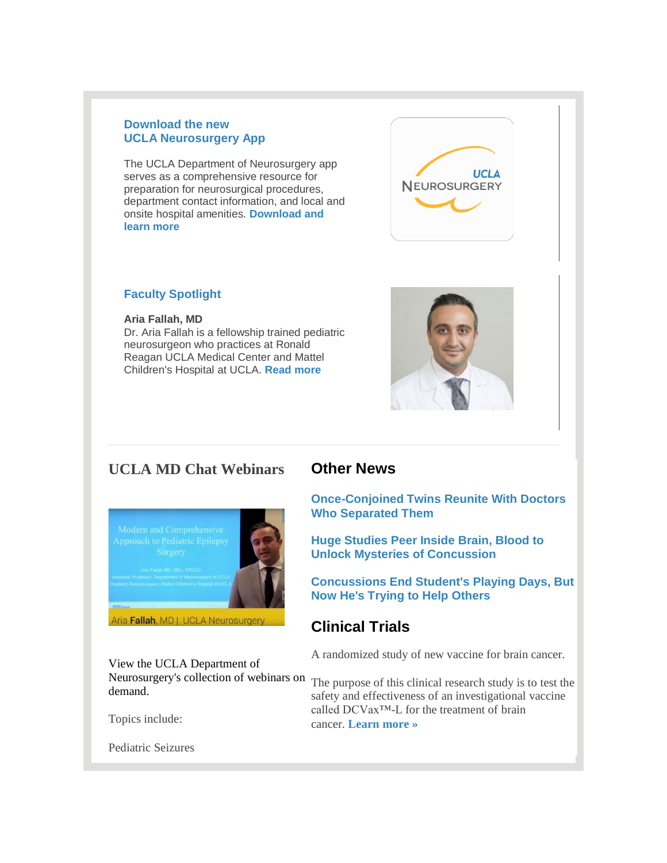#### **Download the new UCLA Neurosurgery App**

The UCLA Department of Neurosurgery app serves as a comprehensive resource for preparation for neurosurgical procedures, department contact information, and local and onsite hospital amenities. **[Download and](http://neurosurgery.ucla.edu/ucla-neurosurgery-app)  [learn more](http://neurosurgery.ucla.edu/ucla-neurosurgery-app)**



#### **Faculty Spotlight**

#### **Aria Fallah, MD**

Dr. Aria Fallah is a fellowship trained pediatric neurosurgeon who practices at Ronald Reagan UCLA Medical Center and Mattel Children's Hospital at UCLA. **[Read more](http://r20.rs6.net/tn.jsp?f=001-VdNGqF67Yizm9LoTl1-oVgWx-m0tEIyViFnmMypjjrcPzXawowD7wGSKwiHqh-aSiRwk7Td8LoR78PUNKphsOZQnq8bKcPYWn9ZlFW4g9miaPqCdLsQ-1FNFq6U9BcPTgYnIM8swAgNFTRRfdZpmpJt6jYoMIex-NGpsu5s-LzcRWGotEu9NL_T3KZVMUZZ40Ei-IF5RZpmJiPlMqUhlEKx6WuXrVlb0ySoklRd1M_x_kic_rwC_pS94wV5dDupFS8uJsfsrGUTOR6VQxk9ooCRQ6O5OXSgtSzib6Ic4XtLQyQESzZzfQDa-BPPJ3Uz433KGRpTbiUcRuNWtwhKulOSC9gsPJRgj8slGznjVYSY9VcDI26eiz7ied1ht_yl26rLWlOP7JE=&c=X4uJHqXZgHsNl_sfp0wlZWzXaOS-vbxyiprdqjLxpdooHnm_qyEZhQ==&ch=XUNexlk9c0OzS3tyTqp4q4c81rU0WH2ZP5B2NJbf27yNAWdc8oqZyw==)**



# **UCLA MD Chat Webinars**



View the UCLA Department of Neurosurgery's collection of webinars on The purpose of this clinical research study is to test the demand.

Topics include:

Pediatric Seizures

## **Other News**

**[Once-Conjoined Twins Reunite With Doctors](http://r20.rs6.net/tn.jsp?f=001-VdNGqF67Yizm9LoTl1-oVgWx-m0tEIyViFnmMypjjrcPzXawowD7yn97W8Yt-5cEV8q6FwyK9_j-KT_e9YJYtnsMYRjA_SJ5KMA9ClImdfEc75_lfH24jWLpBgif5-795uQo4ZBwcu5gDx9CTOd-Sf4xOOaEBj06DJaivhQVn_VHJNUgpLHEy2_HJaaNBwyCdwgUOAoCH_HUiizmO9sI2oaBbZSevaxYT2sfVdXFCVUeHDuBAtFk2UNqQ8p_EMM0KSOTiVut0KN9iBWn0-3fCag-iFNiU8_dun9Bg7LpQhV5b7owhKiIkm8pkkFVHwLQe9DV9QH18Dlic92of7Mjuih3KtdbUYmCkQ5LMTWlxNVe6j5UEJmbeIRlpD9BBAJWPoTWYSiDAWtWpbGUoJEnVaTGHdXSwFEtfQE2ne1Z5dfVYRE1VPloZ8pzqvN4Tsx4A9SGjjppOCWzkwJ0eku5Iq2Cl7t1rjxqLFhZZjl1o6LSQrFh-E0Zg==&c=X4uJHqXZgHsNl_sfp0wlZWzXaOS-vbxyiprdqjLxpdooHnm_qyEZhQ==&ch=XUNexlk9c0OzS3tyTqp4q4c81rU0WH2ZP5B2NJbf27yNAWdc8oqZyw==)  [Who Separated Them](http://r20.rs6.net/tn.jsp?f=001-VdNGqF67Yizm9LoTl1-oVgWx-m0tEIyViFnmMypjjrcPzXawowD7yn97W8Yt-5cEV8q6FwyK9_j-KT_e9YJYtnsMYRjA_SJ5KMA9ClImdfEc75_lfH24jWLpBgif5-795uQo4ZBwcu5gDx9CTOd-Sf4xOOaEBj06DJaivhQVn_VHJNUgpLHEy2_HJaaNBwyCdwgUOAoCH_HUiizmO9sI2oaBbZSevaxYT2sfVdXFCVUeHDuBAtFk2UNqQ8p_EMM0KSOTiVut0KN9iBWn0-3fCag-iFNiU8_dun9Bg7LpQhV5b7owhKiIkm8pkkFVHwLQe9DV9QH18Dlic92of7Mjuih3KtdbUYmCkQ5LMTWlxNVe6j5UEJmbeIRlpD9BBAJWPoTWYSiDAWtWpbGUoJEnVaTGHdXSwFEtfQE2ne1Z5dfVYRE1VPloZ8pzqvN4Tsx4A9SGjjppOCWzkwJ0eku5Iq2Cl7t1rjxqLFhZZjl1o6LSQrFh-E0Zg==&c=X4uJHqXZgHsNl_sfp0wlZWzXaOS-vbxyiprdqjLxpdooHnm_qyEZhQ==&ch=XUNexlk9c0OzS3tyTqp4q4c81rU0WH2ZP5B2NJbf27yNAWdc8oqZyw==)**

**[Huge Studies Peer Inside Brain, Blood to](http://r20.rs6.net/tn.jsp?f=001-VdNGqF67Yizm9LoTl1-oVgWx-m0tEIyViFnmMypjjrcPzXawowD7yn97W8Yt-5cYdO8BE-fjTsxfU53-WHs_iMDlcUs8GxRwMClgJA4oANK5Ags0QtFqw2AV0Tb21CFIQ6tu0VTxT_0YsRgzOlw8Ch3sxS6MRxS4VpsRiq_k6zMDV9sSPPCgnac7o5w-LzVwh5ePXxX4POK15WAG5fJdy_kAjv1elC7Y9X88s-nhxT_zV-oIFrfsybCWb_Uq0q0z5U4eqjT-QI0xYrnOY167VxtZEOrAJcZo07TqYj3BLsAIKpMWFDBZz-VwnYPNqwH4tJy__Yp18LsL-dNnLTL5MAgWuk_1ZdwYQt24X1nQ5bFs6KFciLX9P_ZZa_UQvBns1rxcpPeQ7o-i-IZqwwP677b3Kc8AqRSw-lsQrGEqig=&c=X4uJHqXZgHsNl_sfp0wlZWzXaOS-vbxyiprdqjLxpdooHnm_qyEZhQ==&ch=XUNexlk9c0OzS3tyTqp4q4c81rU0WH2ZP5B2NJbf27yNAWdc8oqZyw==)  [Unlock Mysteries of Concussion](http://r20.rs6.net/tn.jsp?f=001-VdNGqF67Yizm9LoTl1-oVgWx-m0tEIyViFnmMypjjrcPzXawowD7yn97W8Yt-5cYdO8BE-fjTsxfU53-WHs_iMDlcUs8GxRwMClgJA4oANK5Ags0QtFqw2AV0Tb21CFIQ6tu0VTxT_0YsRgzOlw8Ch3sxS6MRxS4VpsRiq_k6zMDV9sSPPCgnac7o5w-LzVwh5ePXxX4POK15WAG5fJdy_kAjv1elC7Y9X88s-nhxT_zV-oIFrfsybCWb_Uq0q0z5U4eqjT-QI0xYrnOY167VxtZEOrAJcZo07TqYj3BLsAIKpMWFDBZz-VwnYPNqwH4tJy__Yp18LsL-dNnLTL5MAgWuk_1ZdwYQt24X1nQ5bFs6KFciLX9P_ZZa_UQvBns1rxcpPeQ7o-i-IZqwwP677b3Kc8AqRSw-lsQrGEqig=&c=X4uJHqXZgHsNl_sfp0wlZWzXaOS-vbxyiprdqjLxpdooHnm_qyEZhQ==&ch=XUNexlk9c0OzS3tyTqp4q4c81rU0WH2ZP5B2NJbf27yNAWdc8oqZyw==)**

**[Concussions End Student's Playing Days, But](http://r20.rs6.net/tn.jsp?f=001-VdNGqF67Yizm9LoTl1-oVgWx-m0tEIyViFnmMypjjrcPzXawowD745gPOiAstmW5ISbaBlNbuwDBVZ6UHiRuIWJErUgxPODF_kUj0Um_ADEoZ4VlBN5W9WUWoAuo-724qe6Ek3HFb-QqvePChlEpA5dO7NkXk3CHlW4jg85c6kJhPXtOgjHhh3wKhefq-0ig40irUAtzQrplMLWpNASkA98xjWyKHzaelVkaBTHgBorL09zJwSl3Q2bRN6YJHxkiul-I7YWqvJRGdunq_N8UqR46X-a-3be_G_vaV-UxIo9bB-QhT1oyTiCsXX0k33AhaO1mTgoVL-f704MsICt6_HHTJXWiWO0BnAdRK-G-w6PBY5T5QieLUXFK1SycwzrsD5PjGMfsmQqawZeLyV5WDdqSzdG0dgh7kiQGt0utAhK19HWYjPWSNI0fm0kLFdAqSlQ-DWasj9rc_h3YR7obcXOLjl9epx1rZ6U2GdIMXtMHrjxOOu-qg==&c=X4uJHqXZgHsNl_sfp0wlZWzXaOS-vbxyiprdqjLxpdooHnm_qyEZhQ==&ch=XUNexlk9c0OzS3tyTqp4q4c81rU0WH2ZP5B2NJbf27yNAWdc8oqZyw==)  [Now He's Trying to Help Others](http://r20.rs6.net/tn.jsp?f=001-VdNGqF67Yizm9LoTl1-oVgWx-m0tEIyViFnmMypjjrcPzXawowD745gPOiAstmW5ISbaBlNbuwDBVZ6UHiRuIWJErUgxPODF_kUj0Um_ADEoZ4VlBN5W9WUWoAuo-724qe6Ek3HFb-QqvePChlEpA5dO7NkXk3CHlW4jg85c6kJhPXtOgjHhh3wKhefq-0ig40irUAtzQrplMLWpNASkA98xjWyKHzaelVkaBTHgBorL09zJwSl3Q2bRN6YJHxkiul-I7YWqvJRGdunq_N8UqR46X-a-3be_G_vaV-UxIo9bB-QhT1oyTiCsXX0k33AhaO1mTgoVL-f704MsICt6_HHTJXWiWO0BnAdRK-G-w6PBY5T5QieLUXFK1SycwzrsD5PjGMfsmQqawZeLyV5WDdqSzdG0dgh7kiQGt0utAhK19HWYjPWSNI0fm0kLFdAqSlQ-DWasj9rc_h3YR7obcXOLjl9epx1rZ6U2GdIMXtMHrjxOOu-qg==&c=X4uJHqXZgHsNl_sfp0wlZWzXaOS-vbxyiprdqjLxpdooHnm_qyEZhQ==&ch=XUNexlk9c0OzS3tyTqp4q4c81rU0WH2ZP5B2NJbf27yNAWdc8oqZyw==)**

## **Clinical Trials**

A randomized study of new vaccine for brain cancer.

safety and effectiveness of an investigational vaccine called DCVax™-L for the treatment of brain cancer. **[Learn more »](http://r20.rs6.net/tn.jsp?f=001-VdNGqF67Yizm9LoTl1-oVgWx-m0tEIyViFnmMypjjrcPzXawowD7wGSKwiHqh-aEvocLLP8sQuiUF_ru_bSjNiDuXDVrsARLAwU5bFrWz0fMEyIXV1VeUwYy-Z7Ru1bQ9j9O2FWtMjtUwzQqQyW2DOQRVJ3nSF3QpQwze20AS9zCIoLeZgA7CZ2P_HlBB982K0uTlBkWv4OugXO1JMA6yPZhcLfDEZhBbJfZA-wudc3CoGA4XoBN17hUrwHMjSB7GIKOhTU0ZJdHcMqP4Cn7kFo2bKqhVOS7qYkTsMbyha2ypRZ3rL9GooEFnWXweljf2NEUdkAp0BOmOovebILJRz1WM0C6D8HvNGLgtNgvMfEaJD-ed9e_Et-_H5EDNgdQwOhXnesU9s=&c=X4uJHqXZgHsNl_sfp0wlZWzXaOS-vbxyiprdqjLxpdooHnm_qyEZhQ==&ch=XUNexlk9c0OzS3tyTqp4q4c81rU0WH2ZP5B2NJbf27yNAWdc8oqZyw==)**